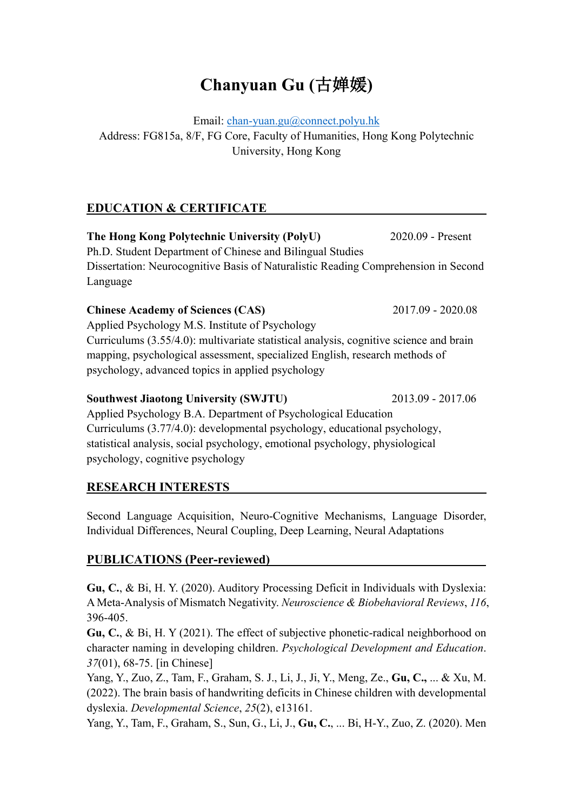# **Chanyuan Gu (**古婵媛**)**

Email: chan-yuan.gu@connect.polyu.hk

Address: FG815a, 8/F, FG Core, Faculty of Humanities, Hong Kong Polytechnic University, Hong Kong

# **EDUCATION & CERTIFICATE**

**The Hong Kong Polytechnic University (PolyU)** 2020.09 - Present Ph.D. Student Department of Chinese and Bilingual Studies Dissertation: Neurocognitive Basis of Naturalistic Reading Comprehension in Second Language

**Chinese Academy of Sciences (CAS)** 2017.09 - 2020.08 Applied Psychology M.S. Institute of Psychology Curriculums (3.55/4.0): multivariate statistical analysis, cognitive science and brain mapping, psychological assessment, specialized English, research methods of psychology, advanced topics in applied psychology

#### **Southwest Jiaotong University (SWJTU)** 2013.09 - 2017.06

Applied Psychology B.A. Department of Psychological Education Curriculums (3.77/4.0): developmental psychology, educational psychology, statistical analysis, social psychology, emotional psychology, physiological psychology, cognitive psychology

## **RESEARCH INTERESTS**

Second Language Acquisition, Neuro-Cognitive Mechanisms, Language Disorder, Individual Differences, Neural Coupling, Deep Learning, Neural Adaptations

## **PUBLICATIONS (Peer-reviewed)**

**Gu, C.**, & Bi, H. Y. (2020). Auditory Processing Deficit in Individuals with Dyslexia: A Meta-Analysis of Mismatch Negativity. *Neuroscience & Biobehavioral Reviews*, *116*, 396-405.

**Gu, C.**, & Bi, H. Y (2021). The effect of subjective phonetic-radical neighborhood on character naming in developing children. *Psychological Development and Education*. *37*(01), 68-75. [in Chinese]

Yang, Y., Zuo, Z., Tam, F., Graham, S. J., Li, J., Ji, Y., Meng, Ze., **Gu, C.,** ... & Xu, M. (2022). The brain basis of handwriting deficits in Chinese children with developmental dyslexia. *Developmental Science*, *25*(2), e13161.

Yang, Y., Tam, F., Graham, S., Sun, G., Li, J., **Gu, C.**, ... Bi, H-Y., Zuo, Z. (2020). Men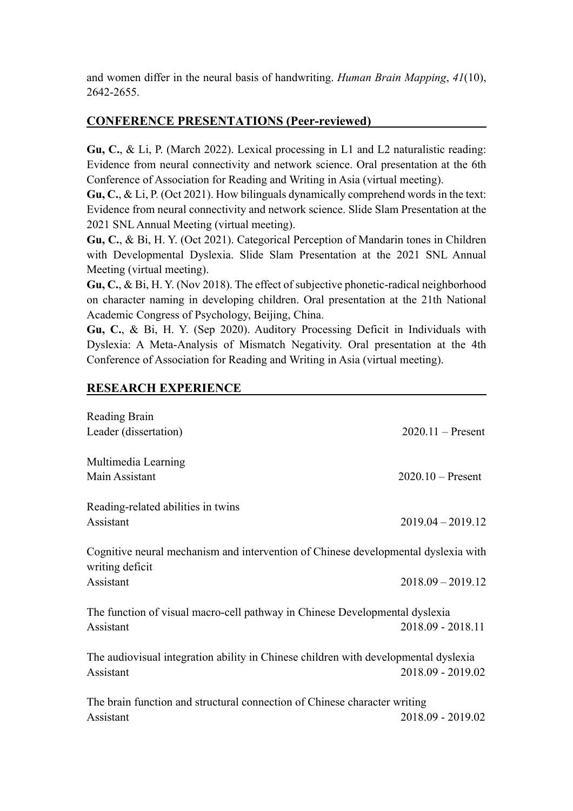and women differ in the neural basis of handwriting. *Human Brain Mapping*, *41*(10), 2642-2655.

# **CONFERENCE PRESENTATIONS (Peer-reviewed)**

**Gu, C.**, & Li, P. (March 2022). Lexical processing in L1 and L2 naturalistic reading: Evidence from neural connectivity and network science. Oral presentation at the 6th Conference of Association for Reading and Writing in Asia (virtual meeting).

**Gu, C.**, & Li, P. (Oct 2021). How bilinguals dynamically comprehend words in the text: Evidence from neural connectivity and network science. Slide Slam Presentation at the 2021 SNL Annual Meeting (virtual meeting).

**Gu, C.**, & Bi, H. Y. (Oct 2021). Categorical Perception of Mandarin tones in Children with Developmental Dyslexia. Slide Slam Presentation at the 2021 SNL Annual Meeting (virtual meeting).

**Gu, C.**, & Bi, H. Y. (Nov 2018). The effect of subjective phonetic-radical neighborhood on character naming in developing children. Oral presentation at the 21th National Academic Congress of Psychology, Beijing, China.

**Gu, C.**, & Bi, H. Y. (Sep 2020). Auditory Processing Deficit in Individuals with Dyslexia: A Meta-Analysis of Mismatch Negativity. Oral presentation at the 4th Conference of Association for Reading and Writing in Asia (virtual meeting).

## **RESEARCH EXPERIENCE**

| Reading Brain                                                                                         |                     |
|-------------------------------------------------------------------------------------------------------|---------------------|
| Leader (dissertation)                                                                                 | $2020.11 -$ Present |
| Multimedia Learning                                                                                   |                     |
| Main Assistant                                                                                        | $2020.10$ – Present |
| Reading-related abilities in twins                                                                    |                     |
| Assistant                                                                                             | $2019.04 - 2019.12$ |
| Cognitive neural mechanism and intervention of Chinese developmental dyslexia with<br>writing deficit |                     |
| Assistant                                                                                             | $2018.09 - 2019.12$ |
| The function of visual macro-cell pathway in Chinese Developmental dyslexia<br>Assistant              | 2018.09 - 2018.11   |
| The audiovisual integration ability in Chinese children with developmental dyslexia                   |                     |
| Assistant                                                                                             | 2018.09 - 2019.02   |
| The brain function and structural connection of Chinese character writing                             |                     |
| Assistant                                                                                             | 2018.09 - 2019.02   |